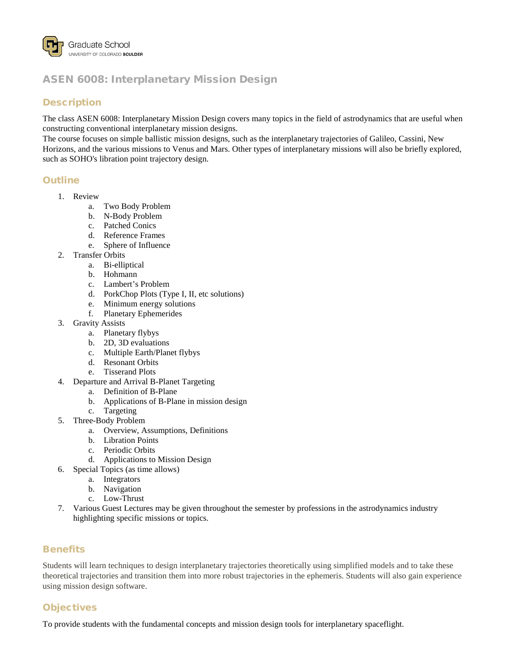

# ASEN 6008: Interplanetary Mission Design

## **Description**

The class ASEN 6008: Interplanetary Mission Design covers many topics in the field of astrodynamics that are useful when constructing conventional interplanetary mission designs.

The course focuses on simple ballistic mission designs, such as the interplanetary trajectories of Galileo, Cassini, New Horizons, and the various missions to Venus and Mars. Other types of interplanetary missions will also be briefly explored, such as SOHO's libration point trajectory design.

### **Outline**

- 1. Review
	- a. Two Body Problem
	- b. N-Body Problem
	- c. Patched Conics
	- d. Reference Frames
	- e. Sphere of Influence
- 2. Transfer Orbits
	- a. Bi-elliptical
	- b. Hohmann
	- c. Lambert's Problem
	- d. PorkChop Plots (Type I, II, etc solutions)
	- e. Minimum energy solutions
	- f. Planetary Ephemerides
- 3. Gravity Assists
	- a. Planetary flybys
	- b. 2D, 3D evaluations
	- c. Multiple Earth/Planet flybys
	- d. Resonant Orbits
	- e. Tisserand Plots
- 4. Departure and Arrival B-Planet Targeting
	- a. Definition of B-Plane
	- b. Applications of B-Plane in mission design
	- c. Targeting
- 5. Three-Body Problem
	- a. Overview, Assumptions, Definitions
	- b. Libration Points
	- c. Periodic Orbits
	- d. Applications to Mission Design
- 6. Special Topics (as time allows)
	- a. Integrators
	- b. Navigation
	- c. Low-Thrust
- 7. Various Guest Lectures may be given throughout the semester by professions in the astrodynamics industry highlighting specific missions or topics.

### **Benefits**

Students will learn techniques to design interplanetary trajectories theoretically using simplified models and to take these theoretical trajectories and transition them into more robust trajectories in the ephemeris. Students will also gain experience using mission design software.

#### **Objectives**

To provide students with the fundamental concepts and mission design tools for interplanetary spaceflight.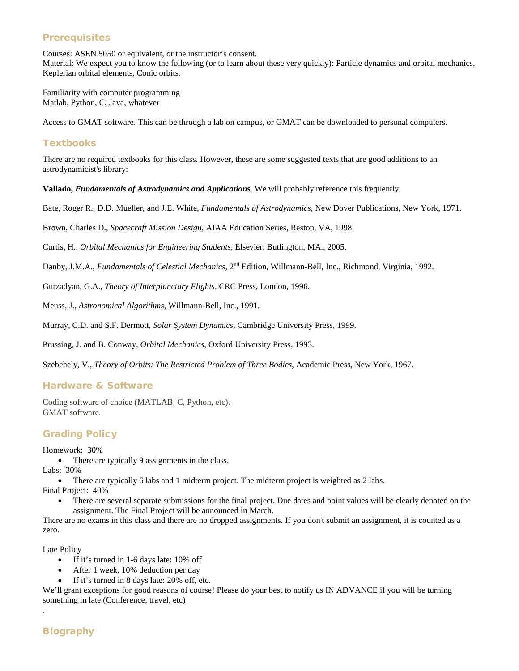### **Prerequisites**

Courses: ASEN 5050 or equivalent, or the instructor's consent. Material: We expect you to know the following (or to learn about these very quickly): Particle dynamics and orbital mechanics, Keplerian orbital elements, Conic orbits.

Familiarity with computer programming Matlab, Python, C, Java, whatever

Access to GMAT software. This can be through a lab on campus, or GMAT can be downloaded to personal computers.

#### **Textbooks**

There are no required textbooks for this class. However, these are some suggested texts that are good additions to an astrodynamicist's library:

**Vallado,** *Fundamentals of Astrodynamics and Applications*. We will probably reference this frequently.

Bate, Roger R., D.D. Mueller, and J.E. White, *Fundamentals of Astrodynamics*, New Dover Publications, New York, 1971.

Brown, Charles D., *Spacecraft Mission Design*, AIAA Education Series, Reston, VA, 1998.

Curtis, H., *Orbital Mechanics for Engineering Students*, Elsevier, Butlington, MA., 2005.

Danby, J.M.A., *Fundamentals of Celestial Mechanics*, 2nd Edition, Willmann-Bell, Inc., Richmond, Virginia, 1992.

Gurzadyan, G.A., *Theory of Interplanetary Flights*, CRC Press, London, 1996.

Meuss, J., *Astronomical Algorithms*, Willmann-Bell, Inc., 1991.

Murray, C.D. and S.F. Dermott, *Solar System Dynamics*, Cambridge University Press, 1999.

Prussing, J. and B. Conway, *Orbital Mechanics*, Oxford University Press, 1993.

Szebehely, V., *Theory of Orbits: The Restricted Problem of Three Bodies*, Academic Press, New York, 1967.

#### Hardware & Software

Coding software of choice (MATLAB, C, Python, etc). GMAT software.

### Grading Policy

Homework: 30%

• There are typically 9 assignments in the class.

Labs: 30%

• There are typically 6 labs and 1 midterm project. The midterm project is weighted as 2 labs. Final Project: 40%

• There are several separate submissions for the final project. Due dates and point values will be clearly denoted on the assignment. The Final Project will be announced in March.

There are no exams in this class and there are no dropped assignments. If you don't submit an assignment, it is counted as a zero.

Late Policy

- If it's turned in 1-6 days late: 10% off
- After 1 week, 10% deduction per day
- If it's turned in 8 days late: 20% off, etc.

We'll grant exceptions for good reasons of course! Please do your best to notify us IN ADVANCE if you will be turning something in late (Conference, travel, etc)

.